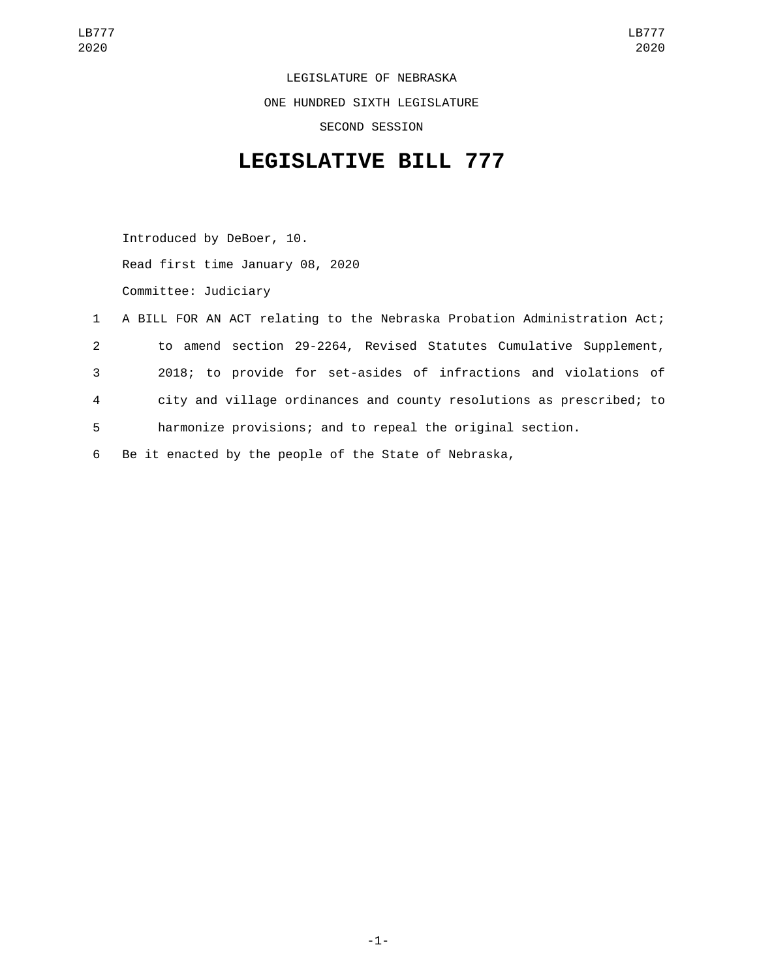LEGISLATURE OF NEBRASKA ONE HUNDRED SIXTH LEGISLATURE SECOND SESSION

## **LEGISLATIVE BILL 777**

Introduced by DeBoer, 10. Read first time January 08, 2020 Committee: Judiciary

|                | 1 A BILL FOR AN ACT relating to the Nebraska Probation Administration Act; |
|----------------|----------------------------------------------------------------------------|
| $2^{\circ}$    | to amend section 29-2264, Revised Statutes Cumulative Supplement,          |
| 3              | 2018; to provide for set-asides of infractions and violations of           |
| $\overline{4}$ | city and village ordinances and county resolutions as prescribed; to       |
| 5              | harmonize provisions; and to repeal the original section.                  |
| 6              | Be it enacted by the people of the State of Nebraska,                      |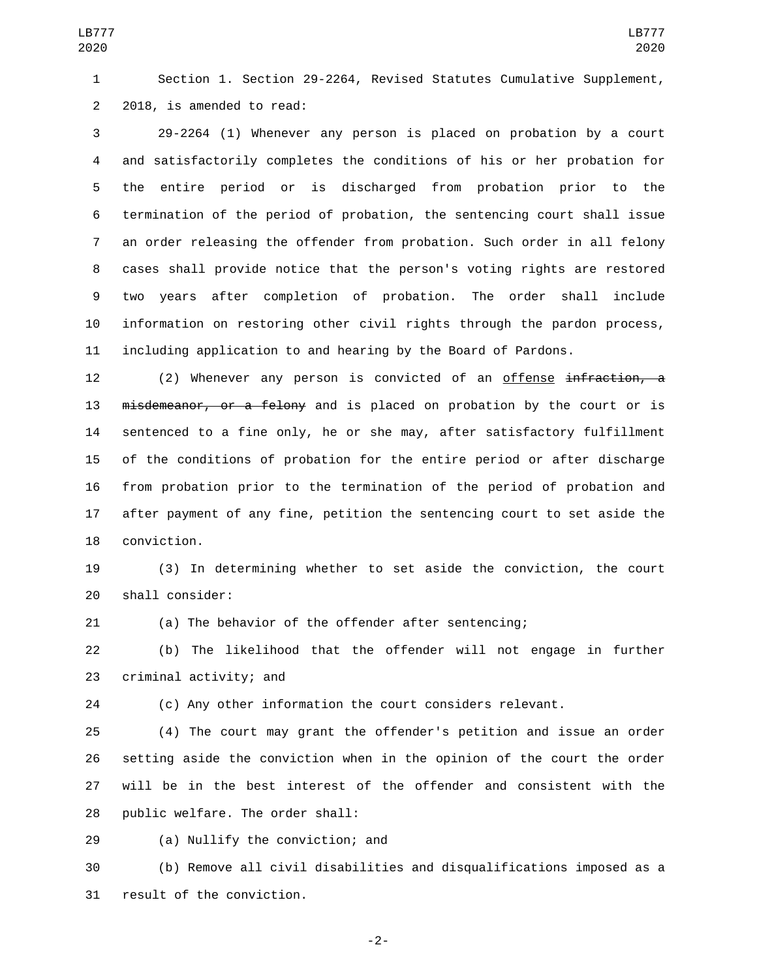Section 1. Section 29-2264, Revised Statutes Cumulative Supplement, 2 2018, is amended to read:

 29-2264 (1) Whenever any person is placed on probation by a court and satisfactorily completes the conditions of his or her probation for the entire period or is discharged from probation prior to the termination of the period of probation, the sentencing court shall issue an order releasing the offender from probation. Such order in all felony cases shall provide notice that the person's voting rights are restored two years after completion of probation. The order shall include information on restoring other civil rights through the pardon process, including application to and hearing by the Board of Pardons.

12 (2) Whenever any person is convicted of an offense infraction, a 13 misdemeanor, or a felony and is placed on probation by the court or is sentenced to a fine only, he or she may, after satisfactory fulfillment of the conditions of probation for the entire period or after discharge from probation prior to the termination of the period of probation and after payment of any fine, petition the sentencing court to set aside the 18 conviction.

 (3) In determining whether to set aside the conviction, the court 20 shall consider:

(a) The behavior of the offender after sentencing;

 (b) The likelihood that the offender will not engage in further 23 criminal activity; and

(c) Any other information the court considers relevant.

 (4) The court may grant the offender's petition and issue an order setting aside the conviction when in the opinion of the court the order will be in the best interest of the offender and consistent with the 28 public welfare. The order shall:

29 (a) Nullify the conviction; and

 (b) Remove all civil disabilities and disqualifications imposed as a 31 result of the conviction.

-2-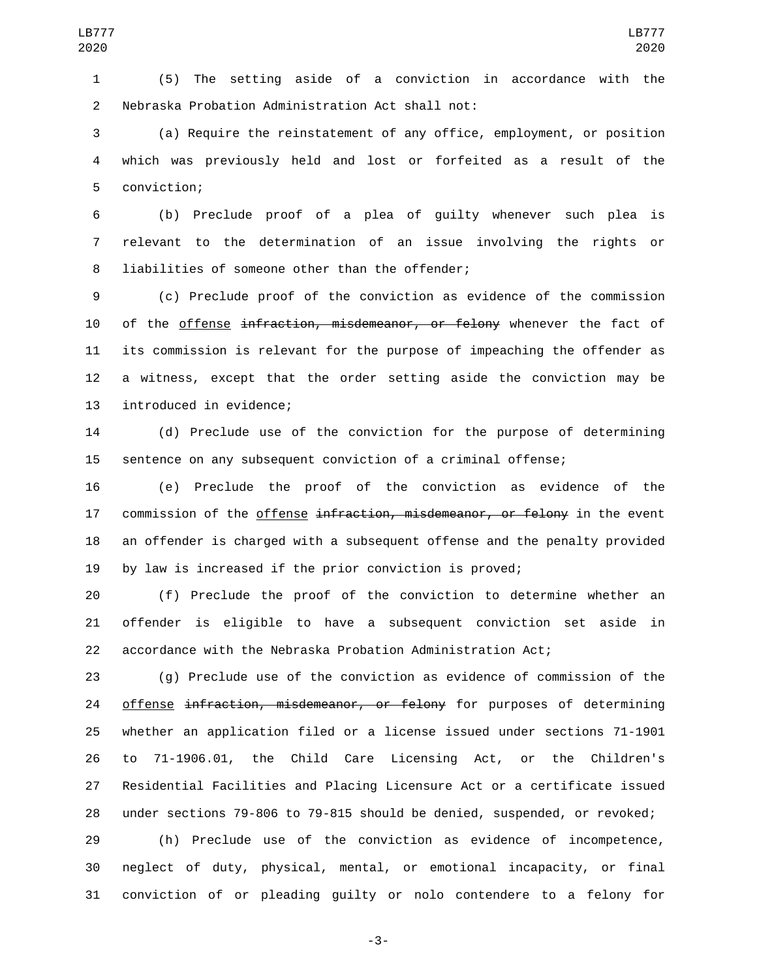(5) The setting aside of a conviction in accordance with the 2 Nebraska Probation Administration Act shall not:

 (a) Require the reinstatement of any office, employment, or position which was previously held and lost or forfeited as a result of the 5 conviction;

 (b) Preclude proof of a plea of guilty whenever such plea is relevant to the determination of an issue involving the rights or 8 liabilities of someone other than the offender;

 (c) Preclude proof of the conviction as evidence of the commission 10 of the offense infraction, misdemeanor, or felony whenever the fact of its commission is relevant for the purpose of impeaching the offender as a witness, except that the order setting aside the conviction may be 13 introduced in evidence;

 (d) Preclude use of the conviction for the purpose of determining sentence on any subsequent conviction of a criminal offense;

 (e) Preclude the proof of the conviction as evidence of the 17 commission of the offense infraction, misdemeanor, or felony in the event an offender is charged with a subsequent offense and the penalty provided by law is increased if the prior conviction is proved;

 (f) Preclude the proof of the conviction to determine whether an offender is eligible to have a subsequent conviction set aside in accordance with the Nebraska Probation Administration Act;

 (g) Preclude use of the conviction as evidence of commission of the 24 offense infraction, misdemeanor, or felony for purposes of determining whether an application filed or a license issued under sections 71-1901 to 71-1906.01, the Child Care Licensing Act, or the Children's Residential Facilities and Placing Licensure Act or a certificate issued under sections 79-806 to 79-815 should be denied, suspended, or revoked;

 (h) Preclude use of the conviction as evidence of incompetence, neglect of duty, physical, mental, or emotional incapacity, or final conviction of or pleading guilty or nolo contendere to a felony for

-3-